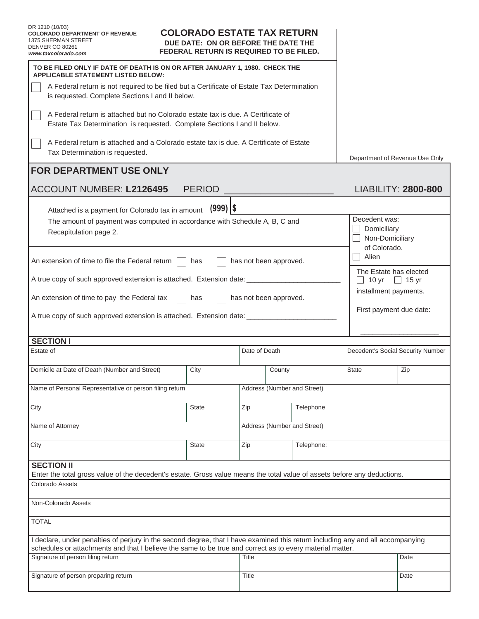## **COLORADO ESTATE TAX RETURN DUE DATE: ON OR BEFORE THE DATE THE FEDERAL RETURN IS REQUIRED TO BE FILED.**

| TO BE FILED ONLY IF DATE OF DEATH IS ON OR AFTER JANUARY 1, 1980. CHECK THE<br><b>APPLICABLE STATEMENT LISTED BELOW:</b>                                                                                                                    |                                                                            |                   |                             |                                                  |                                                                          |                                                                 |  |
|---------------------------------------------------------------------------------------------------------------------------------------------------------------------------------------------------------------------------------------------|----------------------------------------------------------------------------|-------------------|-----------------------------|--------------------------------------------------|--------------------------------------------------------------------------|-----------------------------------------------------------------|--|
| A Federal return is not required to be filed but a Certificate of Estate Tax Determination<br>is requested. Complete Sections I and II below.                                                                                               |                                                                            |                   |                             |                                                  |                                                                          |                                                                 |  |
| A Federal return is attached but no Colorado estate tax is due. A Certificate of<br>Estate Tax Determination is requested. Complete Sections I and II below.                                                                                |                                                                            |                   |                             |                                                  |                                                                          |                                                                 |  |
| A Federal return is attached and a Colorado estate tax is due. A Certificate of Estate<br>Tax Determination is requested.                                                                                                                   |                                                                            |                   |                             |                                                  | Department of Revenue Use Only                                           |                                                                 |  |
| <b>FOR DEPARTMENT USE ONLY</b>                                                                                                                                                                                                              |                                                                            |                   |                             |                                                  |                                                                          |                                                                 |  |
| <b>ACCOUNT NUMBER: L2126495</b><br><b>PERIOD</b>                                                                                                                                                                                            |                                                                            |                   |                             | <b>LIABILITY: 2800-800</b>                       |                                                                          |                                                                 |  |
| Attached is a payment for Colorado tax in amount                                                                                                                                                                                            | $(999)$ $ $ \$                                                             |                   |                             |                                                  |                                                                          |                                                                 |  |
| Recapitulation page 2.                                                                                                                                                                                                                      | The amount of payment was computed in accordance with Schedule A, B, C and |                   |                             |                                                  |                                                                          | Decedent was:<br>Domiciliary<br>Non-Domiciliary<br>of Colorado. |  |
| An extension of time to file the Federal return<br>has not been approved.<br>has                                                                                                                                                            |                                                                            |                   |                             |                                                  | Alien<br>The Estate has elected<br>10 yr<br>$\Box$ 15 yr<br>$\mathbf{L}$ |                                                                 |  |
| A true copy of such approved extension is attached. Extension date:                                                                                                                                                                         |                                                                            |                   |                             |                                                  |                                                                          |                                                                 |  |
| An extension of time to pay the Federal tax<br>has not been approved.<br>has                                                                                                                                                                |                                                                            |                   |                             | installment payments.<br>First payment due date: |                                                                          |                                                                 |  |
| A true copy of such approved extension is attached. Extension date: __________                                                                                                                                                              |                                                                            |                   |                             |                                                  |                                                                          |                                                                 |  |
| <b>SECTION I</b>                                                                                                                                                                                                                            |                                                                            |                   |                             |                                                  |                                                                          |                                                                 |  |
| Estate of                                                                                                                                                                                                                                   |                                                                            | Date of Death     |                             |                                                  | Decedent's Social Security Number                                        |                                                                 |  |
| Domicile at Date of Death (Number and Street)                                                                                                                                                                                               | City                                                                       |                   | County                      |                                                  | <b>State</b>                                                             | Zip                                                             |  |
| Name of Personal Representative or person filing return                                                                                                                                                                                     | Address (Number and Street)                                                |                   |                             |                                                  |                                                                          |                                                                 |  |
| City                                                                                                                                                                                                                                        | State                                                                      | Zip               |                             | Telephone                                        |                                                                          |                                                                 |  |
| Name of Attorney                                                                                                                                                                                                                            |                                                                            |                   | Address (Number and Street) |                                                  |                                                                          |                                                                 |  |
| City                                                                                                                                                                                                                                        | <b>State</b>                                                               | Zip<br>Telephone: |                             |                                                  |                                                                          |                                                                 |  |
| <b>SECTION II</b><br>Enter the total gross value of the decedent's estate. Gross value means the total value of assets before any deductions.                                                                                               |                                                                            |                   |                             |                                                  |                                                                          |                                                                 |  |
| Colorado Assets                                                                                                                                                                                                                             |                                                                            |                   |                             |                                                  |                                                                          |                                                                 |  |
| Non-Colorado Assets                                                                                                                                                                                                                         |                                                                            |                   |                             |                                                  |                                                                          |                                                                 |  |
| <b>TOTAL</b>                                                                                                                                                                                                                                |                                                                            |                   |                             |                                                  |                                                                          |                                                                 |  |
| I declare, under penalties of perjury in the second degree, that I have examined this return including any and all accompanying<br>schedules or attachments and that I believe the same to be true and correct as to every material matter. |                                                                            |                   |                             |                                                  |                                                                          |                                                                 |  |
| Signature of person filing return                                                                                                                                                                                                           |                                                                            | Title             |                             |                                                  |                                                                          | Date                                                            |  |
| Signature of person preparing return                                                                                                                                                                                                        |                                                                            | Title             |                             |                                                  |                                                                          | Date                                                            |  |